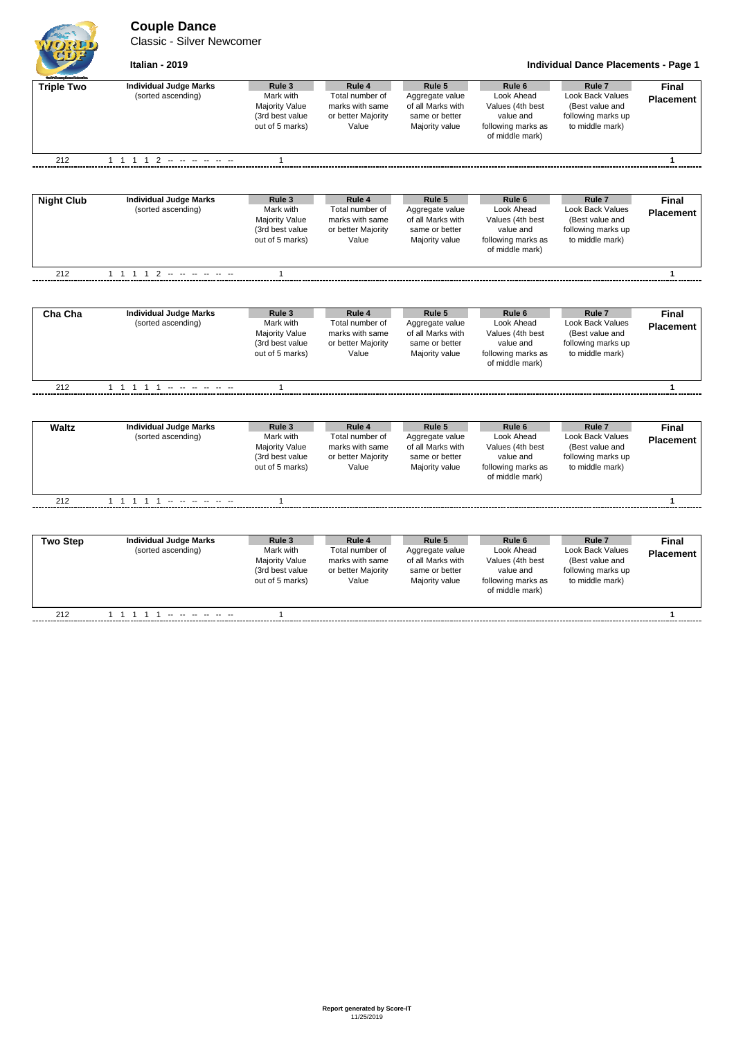# **Couple Dance**

Classic - Silver Newcomer



**Italian - 2019 Individual Dance Placements - Page 1**

| <b>Said Announce Property</b> | <b>Individual Judge Marks</b>                       | Rule 3                                                                             | Rule 4                                                                      | Rule 5                                                                             | Rule 6                                                                                                    | Rule <sub>7</sub>                                                                                        |                                  |
|-------------------------------|-----------------------------------------------------|------------------------------------------------------------------------------------|-----------------------------------------------------------------------------|------------------------------------------------------------------------------------|-----------------------------------------------------------------------------------------------------------|----------------------------------------------------------------------------------------------------------|----------------------------------|
| <b>Triple Two</b>             | (sorted ascending)                                  | Mark with<br>Majority Value<br>(3rd best value<br>out of 5 marks)                  | Total number of<br>marks with same<br>or better Majority<br>Value           | Aggregate value<br>of all Marks with<br>same or better<br>Majority value           | Look Ahead<br>Values (4th best<br>value and<br>following marks as<br>of middle mark)                      | Look Back Values<br>(Best value and<br>following marks up<br>to middle mark)                             | Final<br><b>Placement</b>        |
| 212                           | 1 1 1 1 2 - - - - - - -                             | $\mathbf{1}$                                                                       |                                                                             |                                                                                    |                                                                                                           |                                                                                                          | $\mathbf{1}$                     |
|                               |                                                     |                                                                                    |                                                                             |                                                                                    |                                                                                                           |                                                                                                          |                                  |
| <b>Night Club</b>             | <b>Individual Judge Marks</b><br>(sorted ascending) | Rule 3<br>Mark with<br>Majority Value<br>(3rd best value<br>out of 5 marks)        | Rule 4<br>Total number of<br>marks with same<br>or better Majority<br>Value | Rule 5<br>Aggregate value<br>of all Marks with<br>same or better<br>Majority value | Rule <sub>6</sub><br>Look Ahead<br>Values (4th best<br>value and<br>following marks as<br>of middle mark) | Rule <sub>7</sub><br><b>Look Back Values</b><br>(Best value and<br>following marks up<br>to middle mark) | <b>Final</b><br><b>Placement</b> |
| 212                           | 1 1 1 1 2 - - - - - -                               | $\mathbf{1}$                                                                       |                                                                             |                                                                                    |                                                                                                           |                                                                                                          | $\mathbf{1}$                     |
|                               |                                                     |                                                                                    |                                                                             |                                                                                    |                                                                                                           |                                                                                                          |                                  |
| Cha Cha                       | <b>Individual Judge Marks</b><br>(sorted ascending) | Rule 3<br>Mark with<br><b>Majority Value</b><br>(3rd best value<br>out of 5 marks) | Rule 4<br>Total number of<br>marks with same<br>or better Majority<br>Value | Rule 5<br>Aggregate value<br>of all Marks with<br>same or better<br>Majority value | Rule <sub>6</sub><br>Look Ahead<br>Values (4th best<br>value and<br>following marks as<br>of middle mark) | Rule <sub>7</sub><br><b>Look Back Values</b><br>(Best value and<br>following marks up<br>to middle mark) | Final<br><b>Placement</b>        |
| 212                           | 1 1 1 1 1 - - - - - -                               | $\mathbf{1}$                                                                       |                                                                             |                                                                                    |                                                                                                           |                                                                                                          | $\mathbf{1}$                     |
|                               |                                                     |                                                                                    |                                                                             |                                                                                    |                                                                                                           |                                                                                                          |                                  |
| <b>Waltz</b>                  | <b>Individual Judge Marks</b><br>(sorted ascending) | Rule 3<br>Mark with<br>Majority Value<br>(3rd best value<br>out of 5 marks)        | Rule 4<br>Total number of<br>marks with same<br>or better Majority<br>Value | Rule 5<br>Aggregate value<br>of all Marks with<br>same or better<br>Majority value | Rule <sub>6</sub><br>Look Ahead<br>Values (4th best<br>value and<br>following marks as<br>of middle mark) | Rule <sub>7</sub><br>Look Back Values<br>(Best value and<br>following marks up<br>to middle mark)        | <b>Final</b><br><b>Placement</b> |
| 212                           |                                                     | $\mathbf{1}$                                                                       |                                                                             |                                                                                    |                                                                                                           |                                                                                                          | $\mathbf{1}$                     |
|                               |                                                     |                                                                                    |                                                                             |                                                                                    |                                                                                                           |                                                                                                          |                                  |
| <b>Two Step</b>               | <b>Individual Judge Marks</b><br>(sorted ascending) | Rule 3<br>Mark with<br>Majority Value<br>(3rd best value<br>out of 5 marks)        | Rule 4<br>Total number of<br>marks with same<br>or better Majority<br>Value | Rule 5<br>Aggregate value<br>of all Marks with<br>same or better<br>Majority value | Rule 6<br>Look Ahead<br>Values (4th best<br>value and<br>following marks as<br>of middle mark)            | Rule <sub>7</sub><br><b>Look Back Values</b><br>(Best value and<br>following marks up<br>to middle mark) | Final<br><b>Placement</b>        |
| 212                           | 1 1 1 1 1 - - - - - -                               | $\mathbf{1}$                                                                       |                                                                             |                                                                                    |                                                                                                           |                                                                                                          | $\mathbf{1}$                     |
|                               |                                                     |                                                                                    |                                                                             |                                                                                    |                                                                                                           |                                                                                                          |                                  |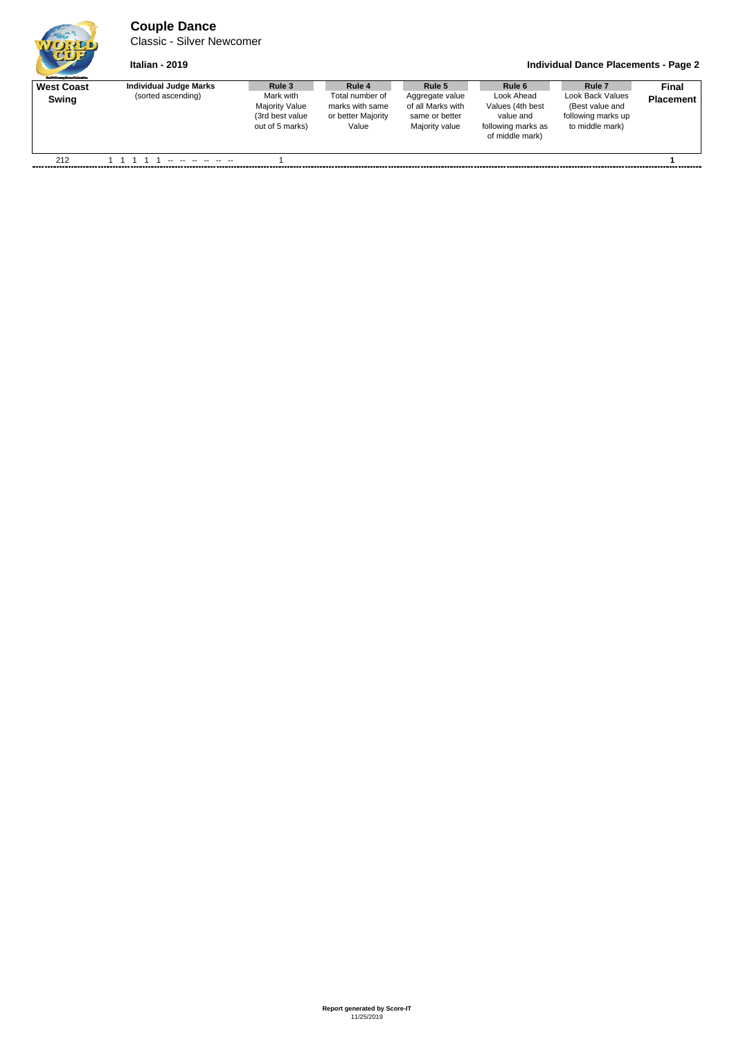# **Couple Dance**

Classic - Silver Newcomer

### **Italian - 2019 Individual Dance Placements - Page 2**

| <b>Guild Graster Deverfedentius</b> |                        |                                                                    |                                                                   |                                                                          |                                                                                      |                                                                              |                  |
|-------------------------------------|------------------------|--------------------------------------------------------------------|-------------------------------------------------------------------|--------------------------------------------------------------------------|--------------------------------------------------------------------------------------|------------------------------------------------------------------------------|------------------|
| <b>West Coast</b>                   | Individual Judge Marks | Rule 3                                                             | Rule 4                                                            | Rule 5                                                                   | Rule 6                                                                               | Rule <sub>7</sub>                                                            | Final            |
| Swing                               | (sorted ascending)     | Mark with<br>Majority Value<br>(3rd best value)<br>out of 5 marks) | Total number of<br>marks with same<br>or better Majority<br>Value | Aggregate value<br>of all Marks with<br>same or better<br>Majority value | Look Ahead<br>Values (4th best<br>value and<br>following marks as<br>of middle mark) | Look Back Values<br>(Best value and<br>following marks up<br>to middle mark) | <b>Placement</b> |
| 212                                 |                        |                                                                    |                                                                   |                                                                          |                                                                                      |                                                                              |                  |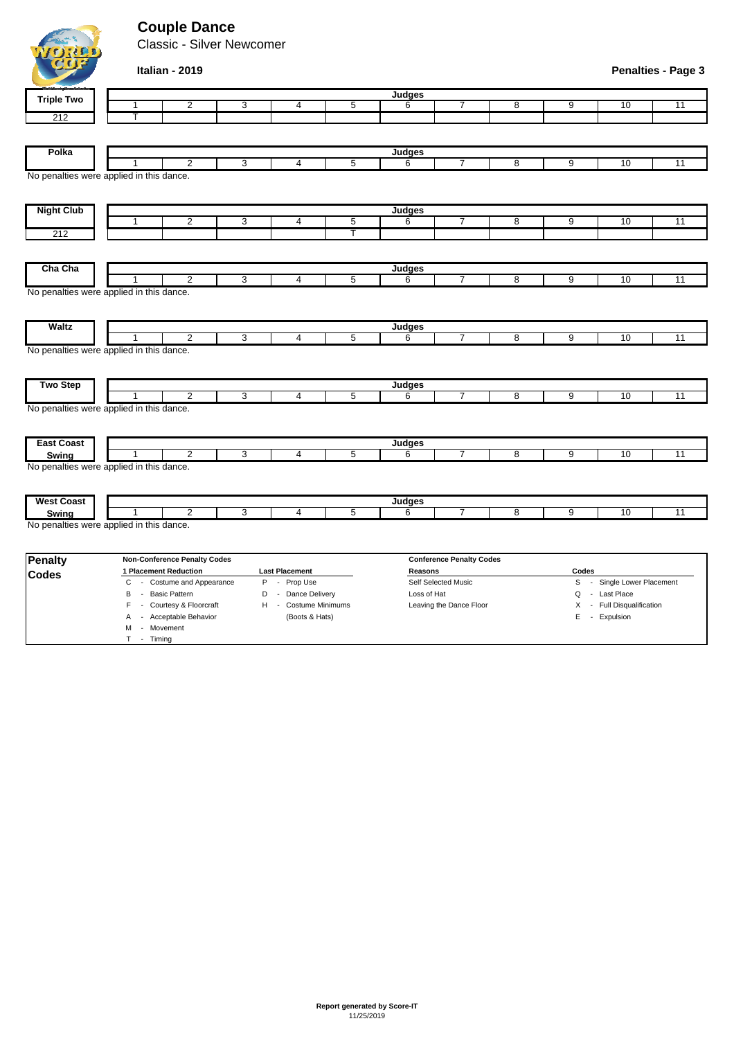# **Couple Dance**

Classic - Silver Newcomer



#### **Italian - 2019**

M - Movement T - Timing

| Penalties - Page 3 |  |  |  |  |  |
|--------------------|--|--|--|--|--|
|--------------------|--|--|--|--|--|

| <b>Triple Two</b>                                             |   |                                     |              |                                                                                                                                                                                                                                                                                                                                                          |                | Judges      |                                 |                |                |                                             |    |
|---------------------------------------------------------------|---|-------------------------------------|--------------|----------------------------------------------------------------------------------------------------------------------------------------------------------------------------------------------------------------------------------------------------------------------------------------------------------------------------------------------------------|----------------|-------------|---------------------------------|----------------|----------------|---------------------------------------------|----|
|                                                               | 1 | 2                                   | 3            | 4                                                                                                                                                                                                                                                                                                                                                        | 5              | 6           |                                 | 8              | 9              | 10                                          | 11 |
| 212                                                           | т |                                     |              |                                                                                                                                                                                                                                                                                                                                                          |                |             |                                 |                |                |                                             |    |
|                                                               |   |                                     |              |                                                                                                                                                                                                                                                                                                                                                          |                |             |                                 |                |                |                                             |    |
| Polka                                                         |   |                                     |              |                                                                                                                                                                                                                                                                                                                                                          |                | Judges      |                                 |                |                |                                             |    |
|                                                               | 1 | $\overline{2}$                      | 3            | $\overline{4}$                                                                                                                                                                                                                                                                                                                                           | $\overline{5}$ | 6           | 7                               | $\overline{8}$ | $\overline{9}$ | 10                                          | 11 |
| No penalties were applied in this dance.                      |   |                                     |              |                                                                                                                                                                                                                                                                                                                                                          |                |             |                                 |                |                |                                             |    |
| <b>Night Club</b>                                             |   |                                     |              |                                                                                                                                                                                                                                                                                                                                                          |                | Judges      |                                 |                |                |                                             |    |
|                                                               | 1 | $\overline{2}$                      | $\mathbf{3}$ | 4                                                                                                                                                                                                                                                                                                                                                        | 5              | 6           | $\overline{7}$                  | 8              | 9              | 10                                          | 11 |
| $\overline{212}$                                              |   |                                     |              |                                                                                                                                                                                                                                                                                                                                                          | Ŧ              |             |                                 |                |                |                                             |    |
| Cha Cha                                                       |   |                                     |              |                                                                                                                                                                                                                                                                                                                                                          |                | Judges      |                                 |                |                |                                             |    |
|                                                               | 1 | $\overline{2}$                      | 3            | $\overline{4}$                                                                                                                                                                                                                                                                                                                                           | 5              | 6           | $\overline{7}$                  | 8              | 9              | 10                                          | 11 |
| No penalties were applied in this dance.                      |   |                                     |              |                                                                                                                                                                                                                                                                                                                                                          |                |             |                                 |                |                |                                             |    |
|                                                               |   |                                     |              |                                                                                                                                                                                                                                                                                                                                                          |                |             |                                 |                |                |                                             |    |
| <b>Waltz</b>                                                  |   |                                     |              |                                                                                                                                                                                                                                                                                                                                                          |                | Judges      |                                 |                |                |                                             |    |
|                                                               |   | $\overline{2}$                      | 3            | $\overline{4}$                                                                                                                                                                                                                                                                                                                                           | $\overline{5}$ | 6           | $\overline{7}$                  | $\overline{8}$ | $\overline{9}$ | 10                                          | 11 |
| No penalties were applied in this dance.                      |   |                                     |              |                                                                                                                                                                                                                                                                                                                                                          |                |             |                                 |                |                |                                             |    |
| <b>Two Step</b>                                               |   |                                     |              |                                                                                                                                                                                                                                                                                                                                                          |                | Judges      |                                 |                |                |                                             |    |
|                                                               | 1 | $\overline{2}$                      | 3            | $\overline{4}$                                                                                                                                                                                                                                                                                                                                           | 5              | 6           | $\overline{7}$                  | 8              | 9              | 10                                          | 11 |
| No penalties were applied in this dance.<br><b>East Coast</b> |   |                                     |              |                                                                                                                                                                                                                                                                                                                                                          |                | Judges      |                                 |                |                |                                             |    |
| Swing                                                         | 1 | $\overline{2}$                      | 3            | 4                                                                                                                                                                                                                                                                                                                                                        | 5              | 6           | $\overline{7}$                  | 8              | 9              | 10                                          | 11 |
| No penalties were applied in this dance.                      |   |                                     |              |                                                                                                                                                                                                                                                                                                                                                          |                |             |                                 |                |                |                                             |    |
|                                                               |   |                                     |              |                                                                                                                                                                                                                                                                                                                                                          |                |             |                                 |                |                |                                             |    |
| <b>West Coast</b>                                             |   |                                     |              |                                                                                                                                                                                                                                                                                                                                                          |                | Judges      |                                 |                |                |                                             |    |
| Swing                                                         | 1 | $\overline{2}$                      | 3            | 4                                                                                                                                                                                                                                                                                                                                                        | 5              | 6           | $\overline{7}$                  | 8              | 9              | 10                                          | 11 |
| No penalties were applied in this dance.                      |   |                                     |              |                                                                                                                                                                                                                                                                                                                                                          |                |             |                                 |                |                |                                             |    |
| <b>Penalty</b>                                                |   | <b>Non-Conference Penalty Codes</b> |              |                                                                                                                                                                                                                                                                                                                                                          |                |             | <b>Conference Penalty Codes</b> |                |                |                                             |    |
| <b>Codes</b>                                                  |   | 1 Placement Reduction               |              | <b>Last Placement</b>                                                                                                                                                                                                                                                                                                                                    |                | Reasons     |                                 |                | Codes          |                                             |    |
|                                                               | С | - Costume and Appearance            | P            | - Prop Use                                                                                                                                                                                                                                                                                                                                               |                |             | Self Selected Music             |                |                | S - Single Lower Placement                  |    |
|                                                               | В | - Basic Pattern                     |              | D - Dance Delivery<br>$\mathbf{C}$ $\mathbf{C}$ $\mathbf{C}$ $\mathbf{C}$ $\mathbf{C}$ $\mathbf{C}$ $\mathbf{C}$ $\mathbf{C}$ $\mathbf{C}$ $\mathbf{C}$ $\mathbf{C}$ $\mathbf{C}$ $\mathbf{C}$ $\mathbf{C}$ $\mathbf{C}$ $\mathbf{C}$ $\mathbf{C}$ $\mathbf{C}$ $\mathbf{C}$ $\mathbf{C}$ $\mathbf{C}$ $\mathbf{C}$ $\mathbf{C}$ $\mathbf{C}$ $\mathbf{$ |                | Loss of Hat |                                 |                |                | Q - Last Place<br>V. Full Disputable adjace |    |
|                                                               |   |                                     |              |                                                                                                                                                                                                                                                                                                                                                          |                |             | London the Dense Floor          |                |                |                                             |    |

B - Basic Pattern **D** - Dance Delivery Loss of Hat **Loss of Hat Q - Last Place** F - Courtesy & Floorcraft H - Costume Minimums Leaving the Dance Floor X - Full Disqualification Expose that the cost of the Cost of the Cost of the Cost of the Cost of the Cost of the Cost of the Cost of the Cost of the Cost of the Cost of the Cost of the Cost of the Cost of the Cost of the Cost of the Cost of the Co